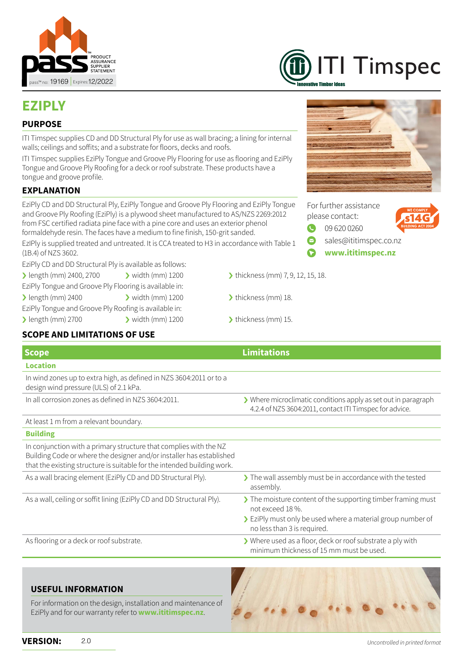



# **EZIPLY**

#### **PURPOSE**

ITI Timspec supplies CD and DD Structural Ply for use as wall bracing; a lining for internal walls; ceilings and soffits; and a substrate for floors, decks and roofs.

ITI Timspec supplies EziPly Tongue and Groove Ply Flooring for use as flooring and EziPly Tongue and Groove Ply Roofing for a deck or roof substrate. These products have a tongue and groove profile.

#### **EXPLANATION**

EziPly CD and DD Structural Ply, EziPly Tongue and Groove Ply Flooring and EziPly Tongue and Groove Ply Roofing (EziPly) is a plywood sheet manufactured to AS/NZS 2269:2012 from FSC certified radiata pine face with a pine core and uses an exterior phenol formaldehyde resin. The faces have a medium to fine finish, 150-grit sanded.

EzIPly is supplied treated and untreated. It is CCA treated to H3 in accordance with Table 1 (1B.4) of NZS 3602.

EziPly CD and DD Structural Ply is available as follows:

- $\ge$  length (mm) 2400, 2700  $\ge$  width (mm) 1200  $\ge$  thickness (mm) 7, 9, 12, 15, 18.
- EziPly Tongue and Groove Ply Flooring is available in:
- > length (mm) 2400 > width (mm) 1200 > thickness (mm) 18.

EziPly Tongue and Groove Ply Roofing is available in:

- > length (mm) 2700 > width (mm) 1200 > thickness (mm) 15.
	-

## **SCOPE AND LIMITATIONS OF USE**

| <b>Scope</b>                                                                                                                                                                                                         | <b>Limitations</b>                                                                                                        |
|----------------------------------------------------------------------------------------------------------------------------------------------------------------------------------------------------------------------|---------------------------------------------------------------------------------------------------------------------------|
| <b>Location</b>                                                                                                                                                                                                      |                                                                                                                           |
| In wind zones up to extra high, as defined in NZS 3604:2011 or to a<br>design wind pressure (ULS) of 2.1 kPa.                                                                                                        |                                                                                                                           |
| In all corrosion zones as defined in NZS 3604:2011.                                                                                                                                                                  | > Where microclimatic conditions apply as set out in paragraph<br>4.2.4 of NZS 3604:2011, contact ITI Timspec for advice. |
| At least 1 m from a relevant boundary.                                                                                                                                                                               |                                                                                                                           |
| <b>Building</b>                                                                                                                                                                                                      |                                                                                                                           |
| In conjunction with a primary structure that complies with the NZ<br>Building Code or where the designer and/or installer has established<br>that the existing structure is suitable for the intended building work. |                                                                                                                           |
| As a wall bracing element (EziPly CD and DD Structural Ply).                                                                                                                                                         | The wall assembly must be in accordance with the tested<br>assembly.                                                      |
| As a wall, ceiling or soffit lining (EziPly CD and DD Structural Ply).                                                                                                                                               | > The moisture content of the supporting timber framing must<br>not exceed 18%.                                           |
|                                                                                                                                                                                                                      | > EziPly must only be used where a material group number of<br>no less than 3 is required.                                |
| As flooring or a deck or roof substrate.                                                                                                                                                                             | > Where used as a floor, deck or roof substrate a ply with<br>minimum thickness of 15 mm must be used.                    |

#### **USEFUL INFORMATION**

For information on the design, installation and maintenance of EziPly and for our warranty refer to **[www.ititimspec.nz](http://www.ititimspec.nz)**.







**[www.ititimspec.nz](https://ititimspec.nz/)**

- 
- 
-